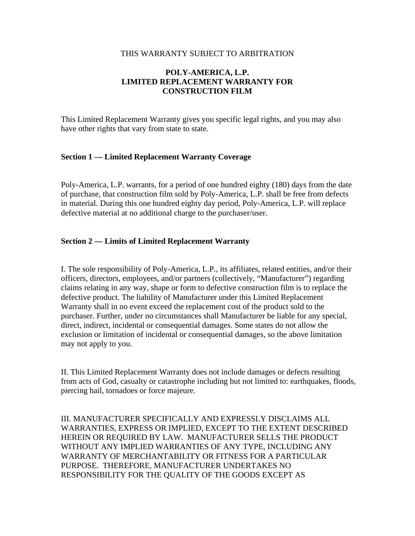#### THIS WARRANTY SUBJECT TO ARBITRATION

# **POLY-AMERICA, L.P. LIMITED REPLACEMENT WARRANTY FOR CONSTRUCTION FILM**

This Limited Replacement Warranty gives you specific legal rights, and you may also have other rights that vary from state to state.

# **Section 1 — Limited Replacement Warranty Coverage**

Poly-America, L.P. warrants, for a period of one hundred eighty (180) days from the date of purchase, that construction film sold by Poly-America, L.P. shall be free from defects in material. During this one hundred eighty day period, Poly-America, L.P. will replace defective material at no additional charge to the purchaser/user.

## **Section 2 — Limits of Limited Replacement Warranty**

I. The sole responsibility of Poly-America, L.P., its affiliates, related entities, and/or their officers, directors, employees, and/or partners (collectively, "Manufacturer") regarding claims relating in any way, shape or form to defective construction film is to replace the defective product. The liability of Manufacturer under this Limited Replacement Warranty shall in no event exceed the replacement cost of the product sold to the purchaser. Further, under no circumstances shall Manufacturer be liable for any special, direct, indirect, incidental or consequential damages. Some states do not allow the exclusion or limitation of incidental or consequential damages, so the above limitation may not apply to you.

II. This Limited Replacement Warranty does not include damages or defects resulting from acts of God, casualty or catastrophe including but not limited to: earthquakes, floods, piercing hail, tornadoes or force majeure.

III. MANUFACTURER SPECIFICALLY AND EXPRESSLY DISCLAIMS ALL WARRANTIES, EXPRESS OR IMPLIED, EXCEPT TO THE EXTENT DESCRIBED HEREIN OR REQUIRED BY LAW. MANUFACTURER SELLS THE PRODUCT WITHOUT ANY IMPLIED WARRANTIES OF ANY TYPE, INCLUDING ANY WARRANTY OF MERCHANTABILITY OR FITNESS FOR A PARTICULAR PURPOSE. THEREFORE, MANUFACTURER UNDERTAKES NO RESPONSIBILITY FOR THE QUALITY OF THE GOODS EXCEPT AS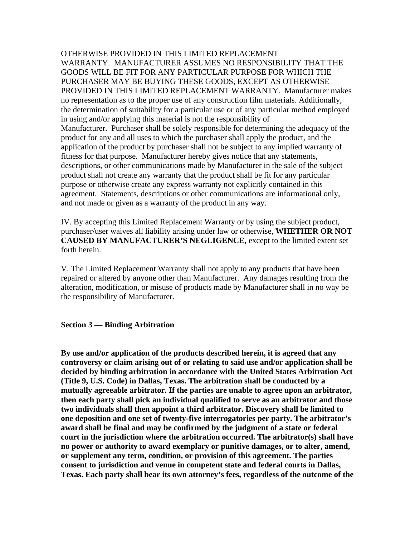OTHERWISE PROVIDED IN THIS LIMITED REPLACEMENT WARRANTY. MANUFACTURER ASSUMES NO RESPONSIBILITY THAT THE GOODS WILL BE FIT FOR ANY PARTICULAR PURPOSE FOR WHICH THE PURCHASER MAY BE BUYING THESE GOODS, EXCEPT AS OTHERWISE PROVIDED IN THIS LIMITED REPLACEMENT WARRANTY. Manufacturer makes no representation as to the proper use of any construction film materials. Additionally, the determination of suitability for a particular use or of any particular method employed in using and/or applying this material is not the responsibility of Manufacturer. Purchaser shall be solely responsible for determining the adequacy of the product for any and all uses to which the purchaser shall apply the product, and the application of the product by purchaser shall not be subject to any implied warranty of fitness for that purpose. Manufacturer hereby gives notice that any statements, descriptions, or other communications made by Manufacturer in the sale of the subject product shall not create any warranty that the product shall be fit for any particular purpose or otherwise create any express warranty not explicitly contained in this agreement. Statements, descriptions or other communications are informational only, and not made or given as a warranty of the product in any way.

IV. By accepting this Limited Replacement Warranty or by using the subject product, purchaser/user waives all liability arising under law or otherwise, **WHETHER OR NOT CAUSED BY MANUFACTURER'S NEGLIGENCE,** except to the limited extent set forth herein.

V. The Limited Replacement Warranty shall not apply to any products that have been repaired or altered by anyone other than Manufacturer. Any damages resulting from the alteration, modification, or misuse of products made by Manufacturer shall in no way be the responsibility of Manufacturer.

#### **Section 3 — Binding Arbitration**

**By use and/or application of the products described herein, it is agreed that any controversy or claim arising out of or relating to said use and/or application shall be decided by binding arbitration in accordance with the United States Arbitration Act (Title 9, U.S. Code) in Dallas, Texas. The arbitration shall be conducted by a mutually agreeable arbitrator. If the parties are unable to agree upon an arbitrator, then each party shall pick an individual qualified to serve as an arbitrator and those two individuals shall then appoint a third arbitrator. Discovery shall be limited to one deposition and one set of twenty-five interrogatories per party. The arbitrator's award shall be final and may be confirmed by the judgment of a state or federal court in the jurisdiction where the arbitration occurred. The arbitrator(s) shall have no power or authority to award exemplary or punitive damages, or to alter, amend, or supplement any term, condition, or provision of this agreement. The parties consent to jurisdiction and venue in competent state and federal courts in Dallas, Texas. Each party shall bear its own attorney's fees, regardless of the outcome of the**